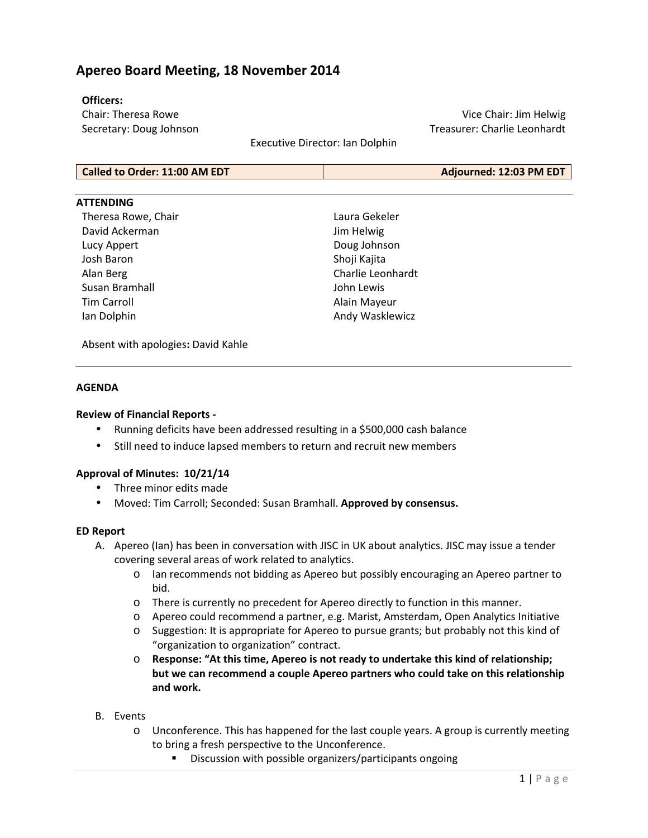# **Apereo Board Meeting, 18 November 2014**

#### **Officers:**

Chair: Theresa Rowe Secretary: Doug Johnson

Vice Chair: Jim Helwig Treasurer: Charlie Leonhardt

Executive Director: Ian Dolphin

#### **ATTENDING**

Theresa Rowe, Chair David Ackerman Lucy Appert Josh Baron Alan Berg Susan Bramhall Tim Carroll Ian Dolphin

Laura Gekeler Jim Helwig Doug Johnson Shoji Kajita Charlie Leonhardt John Lewis Alain Mayeur Andy Wasklewicz

Absent with apologies**:** David Kahle

# **AGENDA**

#### **Review of Financial Reports -**

- Running deficits have been addressed resulting in a \$500,000 cash balance
- Still need to induce lapsed members to return and recruit new members

# **Approval of Minutes: 10/21/14**

- Three minor edits made
- Moved: Tim Carroll; Seconded: Susan Bramhall. **Approved by consensus.**

#### **ED Report**

- A. Apereo (Ian) has been in conversation with JISC in UK about analytics. JISC may issue a tender covering several areas of work related to analytics.
	- o Ian recommends not bidding as Apereo but possibly encouraging an Apereo partner to bid.
	- o There is currently no precedent for Apereo directly to function in this manner.
	- o Apereo could recommend a partner, e.g. Marist, Amsterdam, Open Analytics Initiative
	- o Suggestion: It is appropriate for Apereo to pursue grants; but probably not this kind of "organization to organization" contract.
	- o **Response: "At this time, Apereo is not ready to undertake this kind of relationship; but we can recommend a couple Apereo partners who could take on this relationship and work.**
- B. Events
	- o Unconference. This has happened for the last couple years. A group is currently meeting to bring a fresh perspective to the Unconference.
		- Discussion with possible organizers/participants ongoing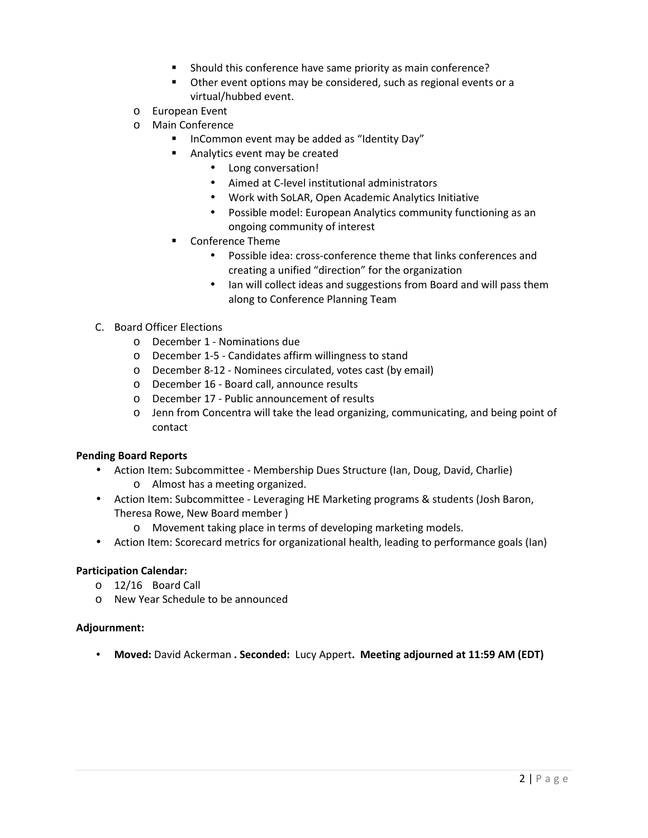- **Should this conference have same priority as main conference?**
- **•** Other event options may be considered, such as regional events or a virtual/hubbed event.
- o European Event
- o Main Conference
	- InCommon event may be added as "Identity Day"
	- **Analytics event may be created** 
		- Long conversation!
		- Aimed at C-level institutional administrators
		- Work with SoLAR, Open Academic Analytics Initiative
		- Possible model: European Analytics community functioning as an ongoing community of interest
	- Conference Theme
		- Possible idea: cross-conference theme that links conferences and creating a unified "direction" for the organization
		- Ian will collect ideas and suggestions from Board and will pass them along to Conference Planning Team
- C. Board Officer Elections
	- o December 1 Nominations due
	- o December 1-5 Candidates affirm willingness to stand
	- o December 8-12 Nominees circulated, votes cast (by email)
	- o December 16 Board call, announce results
	- o December 17 Public announcement of results
	- o Jenn from Concentra will take the lead organizing, communicating, and being point of contact

# **Pending Board Reports**

- Action Item: Subcommittee Membership Dues Structure (Ian, Doug, David, Charlie) o Almost has a meeting organized.
- Action Item: Subcommittee Leveraging HE Marketing programs & students (Josh Baron, Theresa Rowe, New Board member )
	- o Movement taking place in terms of developing marketing models.
- Action Item: Scorecard metrics for organizational health, leading to performance goals (Ian)

# **Participation Calendar:**

- o 12/16 Board Call
- o New Year Schedule to be announced

# **Adjournment:**

• **Moved:** David Ackerman **. Seconded:** Lucy Appert**. Meeting adjourned at 11:59 AM (EDT)**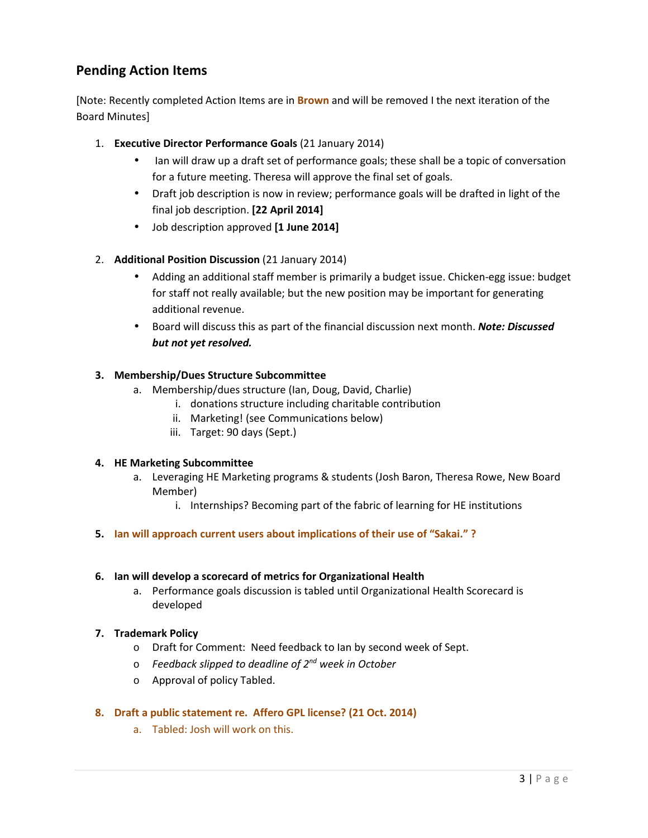# **Pending Action Items**

[Note: Recently completed Action Items are in **Brown** and will be removed I the next iteration of the Board Minutes]

- 1. **Executive Director Performance Goals** (21 January 2014)
	- Ian will draw up a draft set of performance goals; these shall be a topic of conversation for a future meeting. Theresa will approve the final set of goals.
	- Draft job description is now in review; performance goals will be drafted in light of the final job description. **[22 April 2014]**
	- Job description approved **[1 June 2014]**
- 2. **Additional Position Discussion** (21 January 2014)
	- Adding an additional staff member is primarily a budget issue. Chicken-egg issue: budget for staff not really available; but the new position may be important for generating additional revenue.
	- Board will discuss this as part of the financial discussion next month. *Note: Discussed but not yet resolved.*

# **3. Membership/Dues Structure Subcommittee**

- a. Membership/dues structure (Ian, Doug, David, Charlie)
	- i. donations structure including charitable contribution
	- ii. Marketing! (see Communications below)
	- iii. Target: 90 days (Sept.)

# **4. HE Marketing Subcommittee**

- a. Leveraging HE Marketing programs & students (Josh Baron, Theresa Rowe, New Board Member)
	- i. Internships? Becoming part of the fabric of learning for HE institutions
- **5. Ian will approach current users about implications of their use of "Sakai." ?**

# **6. Ian will develop a scorecard of metrics for Organizational Health**

a. Performance goals discussion is tabled until Organizational Health Scorecard is developed

# **7. Trademark Policy**

- o Draft for Comment: Need feedback to Ian by second week of Sept.
- o *Feedback slipped to deadline of 2nd week in October*
- o Approval of policy Tabled.

# **8. Draft a public statement re. Affero GPL license? (21 Oct. 2014)**

a. Tabled: Josh will work on this.